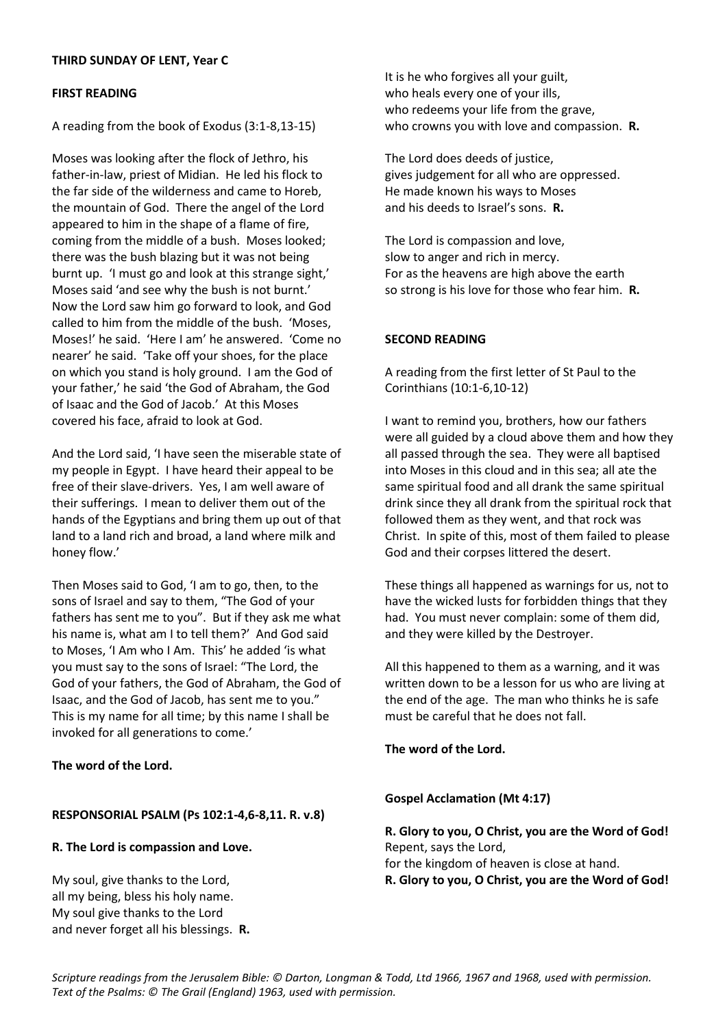## **FIRST READING**

A reading from the book of Exodus (3:1-8,13-15)

Moses was looking after the flock of Jethro, his father-in-law, priest of Midian. He led his flock to the far side of the wilderness and came to Horeb, the mountain of God. There the angel of the Lord appeared to him in the shape of a flame of fire, coming from the middle of a bush. Moses looked; there was the bush blazing but it was not being burnt up. 'I must go and look at this strange sight,' Moses said 'and see why the bush is not burnt.' Now the Lord saw him go forward to look, and God called to him from the middle of the bush. 'Moses, Moses!' he said. 'Here I am' he answered. 'Come no nearer' he said. 'Take off your shoes, for the place on which you stand is holy ground. I am the God of your father,' he said 'the God of Abraham, the God of Isaac and the God of Jacob.' At this Moses covered his face, afraid to look at God.

And the Lord said, 'I have seen the miserable state of my people in Egypt. I have heard their appeal to be free of their slave-drivers. Yes, I am well aware of their sufferings. I mean to deliver them out of the hands of the Egyptians and bring them up out of that land to a land rich and broad, a land where milk and honey flow.'

Then Moses said to God, 'I am to go, then, to the sons of Israel and say to them, "The God of your fathers has sent me to you". But if they ask me what his name is, what am I to tell them?' And God said to Moses, 'I Am who I Am. This' he added 'is what you must say to the sons of Israel: "The Lord, the God of your fathers, the God of Abraham, the God of Isaac, and the God of Jacob, has sent me to you." This is my name for all time; by this name I shall be invoked for all generations to come.'

**The word of the Lord.**

#### **RESPONSORIAL PSALM (Ps 102:1-4,6-8,11. R. v.8)**

#### **R. The Lord is compassion and Love.**

My soul, give thanks to the Lord, all my being, bless his holy name. My soul give thanks to the Lord and never forget all his blessings. **R.** It is he who forgives all your guilt, who heals every one of your ills, who redeems your life from the grave, who crowns you with love and compassion. **R.**

The Lord does deeds of justice, gives judgement for all who are oppressed. He made known his ways to Moses and his deeds to Israel's sons. **R.**

The Lord is compassion and love, slow to anger and rich in mercy. For as the heavens are high above the earth so strong is his love for those who fear him. **R.**

## **SECOND READING**

A reading from the first letter of St Paul to the Corinthians (10:1-6,10-12)

I want to remind you, brothers, how our fathers were all guided by a cloud above them and how they all passed through the sea. They were all baptised into Moses in this cloud and in this sea; all ate the same spiritual food and all drank the same spiritual drink since they all drank from the spiritual rock that followed them as they went, and that rock was Christ. In spite of this, most of them failed to please God and their corpses littered the desert.

These things all happened as warnings for us, not to have the wicked lusts for forbidden things that they had. You must never complain: some of them did, and they were killed by the Destroyer.

All this happened to them as a warning, and it was written down to be a lesson for us who are living at the end of the age. The man who thinks he is safe must be careful that he does not fall.

**The word of the Lord.**

# **Gospel Acclamation (Mt 4:17)**

**R. Glory to you, O Christ, you are the Word of God!** Repent, says the Lord, for the kingdom of heaven is close at hand. **R. Glory to you, O Christ, you are the Word of God!**

*Scripture readings from the Jerusalem Bible: © Darton, Longman & Todd, Ltd 1966, 1967 and 1968, used with permission. Text of the Psalms: © The Grail (England) 1963, used with permission.*